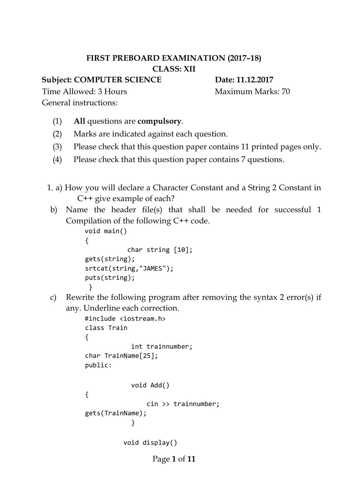## **FIRST PREBOARD EXAMINATION (2017–18) CLASS: XII**

**Subject: COMPUTER SCIENCE** Date: 11.12.2017

Time Allowed: 3 Hours Maximum Marks: 70

General instructions:

- (1) **All** questions are **compulsory**.
- (2) Marks are indicated against each question.
- (3) Please check that this question paper contains 11 printed pages only.
- (4) Please check that this question paper contains 7 questions.
- 1. a) How you will declare a Character Constant and a String 2 Constant in C++ give example of each?
- b) Name the header file(s) that shall be needed for successful 1 Compilation of the following C++ code.

```
void main() 
{ 
             char string [10]; 
gets(string); 
srtcat(string,"JAMES"); 
puts(string); 
 }
```
c) Rewrite the following program after removing the syntax 2 error(s) if any. Underline each correction.

```
#include <iostream.h> 
class Train 
{ 
             int trainnumber; 
char TrainName[25]; 
public: 
             void Add() 
{ 
                 cin >> trainnumber; 
gets(TrainName); 
 } 
           void display()
```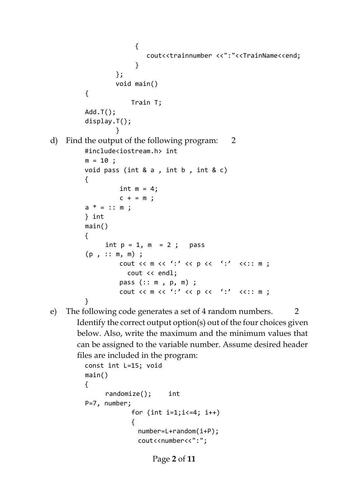```
\{cout<<trainnumber <<":"<<TrainName<<end;
          } 
                  }; 
                 void main() 
         { 
                      Train T; 
         Add.T(); 
         display.T(); 
          }
d) Find the output of the following program: 2 
        #include<iostream.h> int 
         m = 10 ;
        void pass (int & a, int b, int & c)
         { 
                  int m = 4;
                  c + = m;
         a * = :: m;} int 
        main() 
         { 
              int p = 1, m = 2; pass
         (p , :: m, m) ; 
                  cout << m << ':' << p << ':' <<:: m ;
                     cout << endl; 
                  pass (:: m , p, m) ; 
                  cout << m << ':' << p << ':' <<:: m ;
         }
e) The following code generates a set of 4 random numbers. 2
      Identify the correct output option(s) out of the four choices given 
      below. Also, write the maximum and the minimum values that 
      can be assigned to the variable number. Assume desired header 
      files are included in the program:
```

```
const int L=15; void 
main() 
{ 
     randomize(); int 
P=7, number; 
            for (int i=1; i<=4; i++){ 
              number=L+random(i+P); 
              cout<<number<<":";
```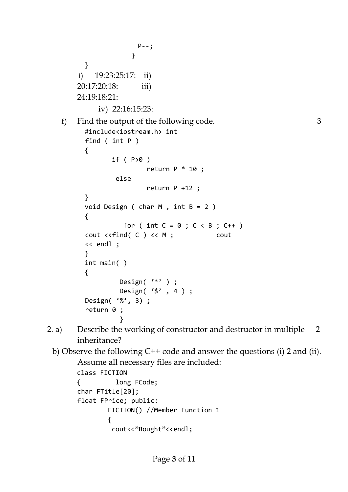```
P--; 
                      } 
          } 
        i) 19:23:25:17: ii) 
        20:17:20:18: iii) 
        24:19:18:21: 
             iv) 22:16:15:23:
   f) Find the output of the following code. 3
          #include<iostream.h> int 
          find ( int P ) 
          { 
                 if (P>0)
                          return P * 10 ;
                   else 
                           return P +12 ; 
          } 
          void Design ( char M , int B = 2 )
          { 
                    for ( int C = 0 ; C < B ; C++ )
          cout <<find( C ) << M ; cout 
          << endl ; 
          } 
          int main( ) 
          { 
                    Design( '*' ) ; 
                    Design( '$' , 4 ) ; 
          Design( '%', 3) ; 
          return 0 ; 
           }
2. a) Describe the working of constructor and destructor in multiple 2
        inheritance? 
 b) Observe the following C++ code and answer the questions (i) 2 and (ii). 
        Assume all necessary files are included: 
        class FICTION 
        { long FCode; 
        char FTitle[20]; 
        float FPrice; public: 
                 FICTION() //Member Function 1 
                 { 
                 cout<<"Bought"<<endl;
```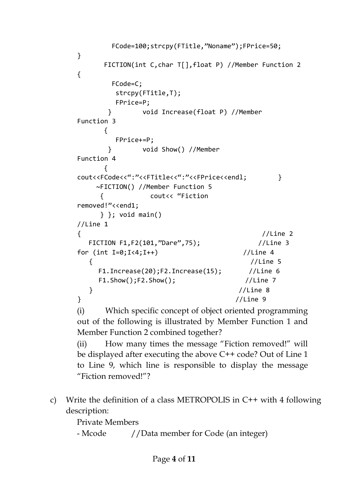```
 FCode=100;strcpy(FTitle,"Noname");FPrice=50; 
} 
      FICTION(int C,char T[],float P) //Member Function 2 
{ 
       FCode=C; 
        strcpy(FTitle,T); 
        FPrice=P; 
       } void Increase(float P) //Member 
Function 3 
      { 
        FPrice+=P; 
       } void Show() //Member 
Function 4 
      { 
cout<<FCode<<":"<<FTitle<<":"<<FPrice<<endl; }
    ~FICTION() //Member Function 5 
     { cout<< "Fiction 
removed!"<<end1; 
     } }; void main() 
//Line 1 
{ //Line 2 
   FICTION F1,F2(101,"Dare",75); //Line 3 
for (int I=0;I<4;I++) //Line 4
   { //Line 5 
    F1.Increase(20);F2.Increase(15); //Line 6
    F1.Show();F2.Show(); //Line 7
   } //Line 8 
} //Line 9
(i) Which specific concept of object oriented programming
```
out of the following is illustrated by Member Function 1 and Member Function 2 combined together?

(ii) How many times the message "Fiction removed!" will be displayed after executing the above C++ code? Out of Line 1 to Line 9, which line is responsible to display the message "Fiction removed!"?

c) Write the definition of a class METROPOLIS in C++ with 4 following description:

Private Members

```
- Mcode //Data member for Code (an integer)
```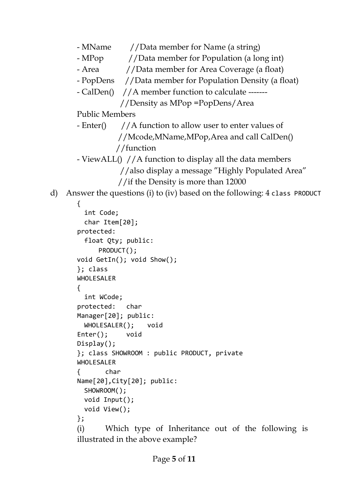```
- MName //Data member for Name (a string)
```
- MPop //Data member for Population (a long int)
- Area  $//Data$  member for Area Coverage (a float)
- PopDens //Data member for Population Density (a float)
- CalDen() //A member function to calculate -------

```
 //Density as MPop =PopDens/Area
```
Public Members

 $-$  Enter() //A function to allow user to enter values of //Mcode,MName,MPop,Area and call CalDen() //function

- ViewALL() //A function to display all the data members
	- //also display a message "Highly Populated Area"
	- //if the Density is more than 12000

d) Answer the questions (i) to (iv) based on the following: 4 class PRODUCT

## {

```
int Code; 
 char Item[20]; 
protected: 
 float Qty; public: 
     PRODUCT(); 
void GetIn(); void Show(); 
}; class 
WHOLESALER 
{ 
  int WCode; 
protected: char 
Manager[20]; public: 
 WHOLESALER(); void 
Enter(); void 
Display(); 
}; class SHOWROOM : public PRODUCT, private 
WHOLESALER 
{ char 
Name[20],City[20]; public: 
 SHOWROOM(); 
 void Input(); 
 void View(); 
}; 
(i) Which type of Inheritance out of the following is 
illustrated in the above example?
```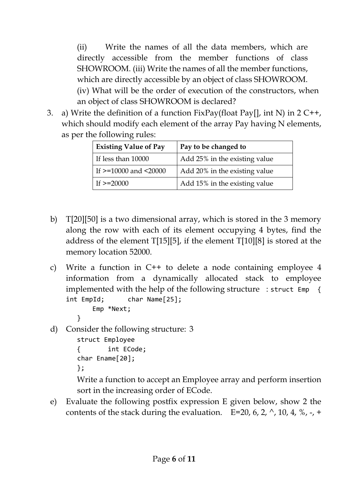(ii) Write the names of all the data members, which are directly accessible from the member functions of class SHOWROOM. (iii) Write the names of all the member functions, which are directly accessible by an object of class SHOWROOM. (iv) What will be the order of execution of the constructors, when an object of class SHOWROOM is declared?

3. a) Write the definition of a function  $FixPay(float\ Pay[], int\ N)$  in  $2C++,$ which should modify each element of the array Pay having N elements, as per the following rules:

| <b>Existing Value of Pay</b>  | Pay to be changed to          |
|-------------------------------|-------------------------------|
| If less than 10000            | Add 25% in the existing value |
| If $>=10000$ and $\leq 20000$ | Add 20% in the existing value |
| If $>=20000$                  | Add 15% in the existing value |

- b) T[20][50] is a two dimensional array, which is stored in the 3 memory along the row with each of its element occupying 4 bytes, find the address of the element T[15][5], if the element T[10][8] is stored at the memory location 52000.
- c) Write a function in C++ to delete a node containing employee 4 information from a dynamically allocated stack to employee implemented with the help of the following structure : struct Emp { int EmpId; char Name[25]; Emp \*Next;
	- }
- d) Consider the following structure: 3

```
struct Employee 
{ int ECode; 
char Ename[20]; 
};
```
Write a function to accept an Employee array and perform insertion sort in the increasing order of ECode.

e) Evaluate the following postfix expression E given below, show 2 the contents of the stack during the evaluation. E=20, 6, 2,  $\land$ , 10, 4,  $\%$ , -, +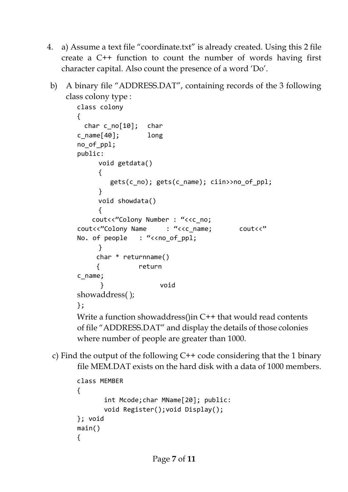- 4. a) Assume a text file "coordinate.txt" is already created. Using this 2 file create a C++ function to count the number of words having first character capital. Also count the presence of a word 'Do'.
- b) A binary file "ADDRESS.DAT", containing records of the 3 following class colony type :

```
class colony 
{ 
  char c_no[10]; char 
c name[40]; long
no_of_ppl; 
public: 
     void getdata() 
     { 
        gets(c^{\text{no}}); gets(c_name); ciin>>no of ppl;
     } 
     void showdata() 
     { 
    cout<<"Colony Number : "<<c no;
cout<<"Colony Name : "<<c_name; cout<<" 
No. of people : "<< no_of_ppl;
     } 
      char * returnname() 
      { return 
c_name; 
       } void 
showaddress( );
}; 
Write a function showaddress()in C++ that would read contents 
of file "ADDRESS.DAT" and display the details of those colonies
```
- where number of people are greater than 1000.
- c) Find the output of the following C++ code considering that the 1 binary file MEM.DAT exists on the hard disk with a data of 1000 members.

```
class MEMBER 
{ 
         int Mcode;char MName[20]; public: 
         void Register();void Display(); 
}; void 
main() 
{
```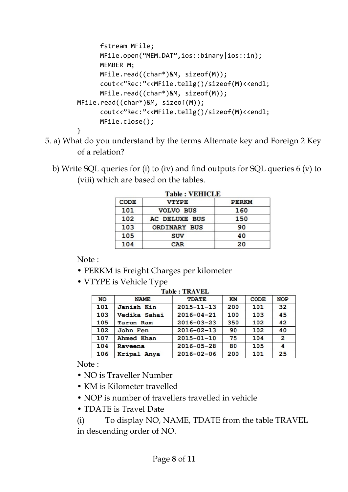```
 fstream MFile; 
       MFile.open("MEM.DAT",ios::binary|ios::in); 
       MEMBER M; 
       MFile.read((char*)&M, sizeof(M)); 
       cout<<"Rec:"<<MFile.tellg()/sizeof(M)<<endl; 
       MFile.read((char*)&M, sizeof(M)); 
MFile.read((char*)&M, sizeof(M)); 
       cout<<"Rec:"<<MFile.tellg()/sizeof(M)<<endl; 
       MFile.close(); 
}
```
- 5. a) What do you understand by the terms Alternate key and Foreign 2 Key of a relation?
	- b) Write SQL queries for (i) to (iv) and find outputs for SQL queries 6 (v) to (viii) which are based on the tables.

| Table : VEHICLE |                  |              |  |  |
|-----------------|------------------|--------------|--|--|
| <b>CODE</b>     | <b>VTYPE</b>     | <b>PERKM</b> |  |  |
| 101             | <b>VOLVO BUS</b> | 160          |  |  |
| 102             | AC DELUXE BUS    | 150          |  |  |
| 103             | ORDINARY BUS     | 90           |  |  |
| 105             | <b>SUV</b>       | 40           |  |  |
| 104             | CAR              | 20           |  |  |

|  |  |  | <b>Table : VEHICLE</b> |
|--|--|--|------------------------|
|--|--|--|------------------------|

Note :

- PERKM is Freight Charges per kilometer
- VTYPE is Vehicle Type

| Table : TRAVEL |                  |                  |     |             |                |
|----------------|------------------|------------------|-----|-------------|----------------|
| <b>NO</b>      | <b>NAME</b>      | <b>TDATE</b>     | KM  | <b>CODE</b> | <b>NOP</b>     |
| 101            | Janish Kin       | $2015 - 11 - 13$ | 200 | 101         | 32             |
| 103            | Vedika Sahai     | $2016 - 04 - 21$ | 100 | 103         | 45             |
| 105            | <b>Tarun Ram</b> | $2016 - 03 - 23$ | 350 | 102         | 42             |
| 102            | John Fen         | $2016 - 02 - 13$ | 90  | 102         | 40             |
| 107            | Ahmed Khan       | $2015 - 01 - 10$ | 75  | 104         | $\overline{2}$ |
| 104            | Raveena          | $2016 - 05 - 28$ | 80  | 105         | 4              |
| 106            | Kripal Anya      | $2016 - 02 - 06$ | 200 | 101         | 25             |

Note :

- NO is Traveller Number
- KM is Kilometer travelled
- NOP is number of travellers travelled in vehicle
- TDATE is Travel Date
- (i) To display NO, NAME, TDATE from the table TRAVEL in descending order of NO.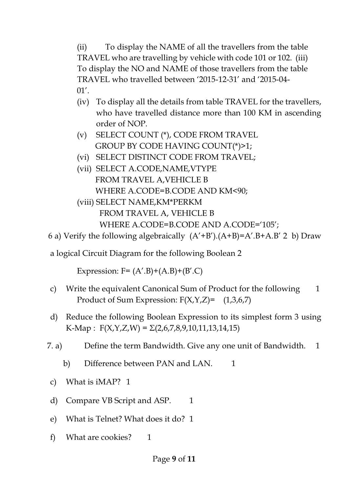(ii) To display the NAME of all the travellers from the table TRAVEL who are travelling by vehicle with code 101 or 102. (iii) To display the NO and NAME of those travellers from the table TRAVEL who travelled between '2015-12-31' and '2015-04- 01'.

- (iv) To display all the details from table TRAVEL for the travellers, who have travelled distance more than 100 KM in ascending order of NOP.
- (v) SELECT COUNT (\*), CODE FROM TRAVEL GROUP BY CODE HAVING COUNT(\*)>1;
- (vi) SELECT DISTINCT CODE FROM TRAVEL;
- (vii) SELECT A.CODE,NAME,VTYPE FROM TRAVEL A,VEHICLE B WHERE A.CODE=B.CODE AND KM<90;
- (viii) SELECT NAME,KM\*PERKM FROM TRAVEL A, VEHICLE B WHERE A.CODE=B.CODE AND A.CODE='105';

```
6 a) Verify the following algebraically (A' + B'). (A + B) = A'. B + A. B' 2 b) Draw
```
a logical Circuit Diagram for the following Boolean 2

Expression:  $F = (A', B) + (A, B) + (B', C)$ 

- c) Write the equivalent Canonical Sum of Product for the following 1 Product of Sum Expression:  $F(X, Y, Z) = (1,3,6,7)$
- d) Reduce the following Boolean Expression to its simplest form 3 using K-Map :  $F(X, Y, Z, W) = \Sigma(2, 6, 7, 8, 9, 10, 11, 13, 14, 15)$
- 7. a) Define the term Bandwidth. Give any one unit of Bandwidth. 1
	- b) Difference between PAN and LAN. 1
	- c) What is iMAP? 1
	- d) Compare VB Script and ASP. 1
- e) What is Telnet? What does it do? 1
- f) What are cookies? 1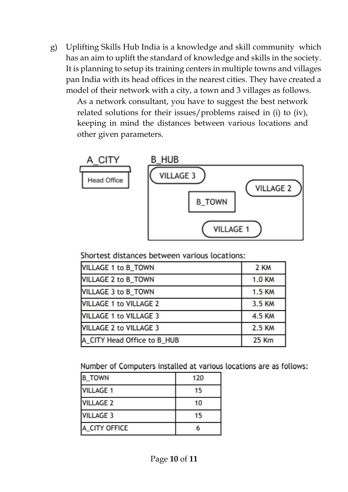g) Uplifting Skills Hub India is a knowledge and skill community which has an aim to uplift the standard of knowledge and skills in the society. It is planning to setup its training centers in multiple towns and villages pan India with its head offices in the nearest cities. They have created a model of their network with a city, a town and 3 villages as follows.

As a network consultant, you have to suggest the best network related solutions for their issues/problems raised in (i) to (iv), keeping in mind the distances between various locations and other given parameters.



Shortest distances between various locations:

| <b>VILLAGE 1 to B_TOWN</b>    | 2 KM          |
|-------------------------------|---------------|
| <b>VILLAGE 2 to B_TOWN</b>    | <b>1.0 KM</b> |
| <b>VILLAGE 3 to B_TOWN</b>    | <b>1.5 KM</b> |
| <b>VILLAGE 1 to VILLAGE 2</b> | 3.5 KM        |
| <b>VILLAGE 1 to VILLAGE 3</b> | 4.5 KM        |
| <b>VILLAGE 2 to VILLAGE 3</b> | 2.5 KM        |
| A CITY Head Office to B_HUB   | <b>25 Km</b>  |

Number of Computers installed at various locations are as follows:

| <b>B_TOWN</b>    | 120 |
|------------------|-----|
| <b>VILLAGE 1</b> | 15  |
| <b>VILLAGE 2</b> | 10  |
| <b>VILLAGE 3</b> | 15  |
| A CITY OFFICE    |     |